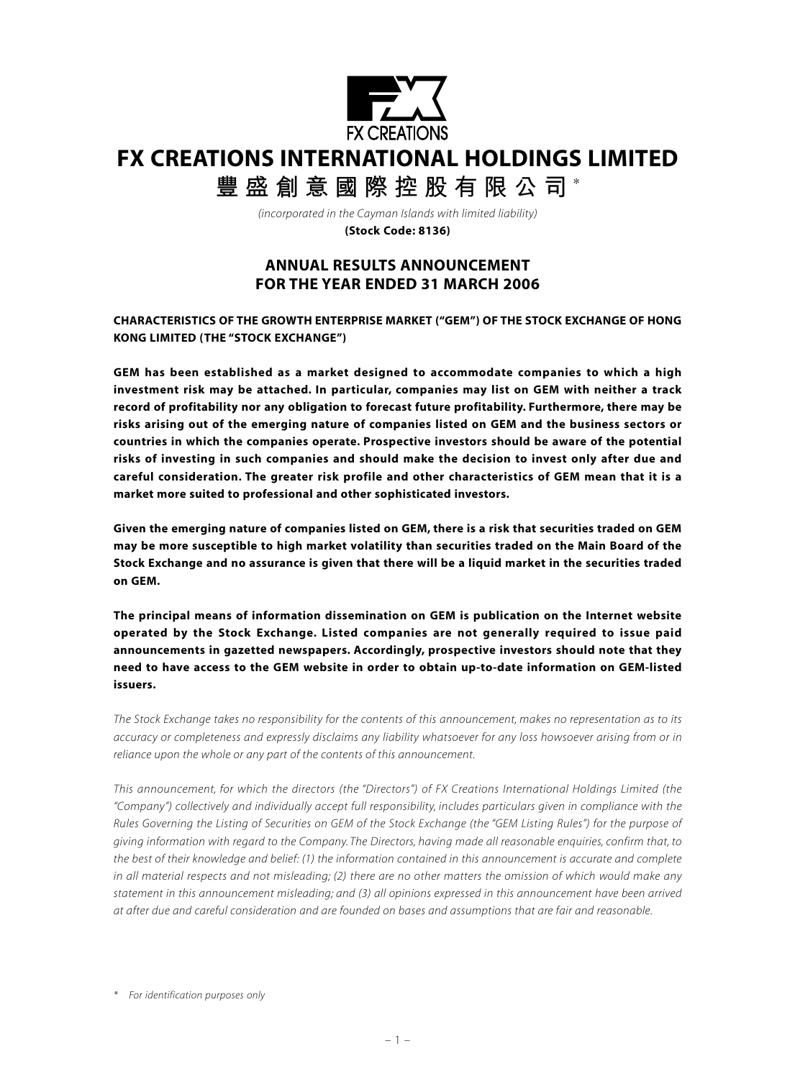

# **FX CREATIONS INTERNATIONAL HOLDINGS LIMITED**

**豐盛創意國際控股有限公司** \*

*(incorporated in the Cayman Islands with limited liability)* **(Stock Code: 8136)**

# **ANNUAL RESULTS ANNOUNCEMENT FOR THE YEAR ENDED 31 MARCH 2006**

**CHARACTERISTICS OF THE GROWTH ENTERPRISE MARKET ("GEM") OF THE STOCK EXCHANGE OF HONG KONG LIMITED (THE "STOCK EXCHANGE")**

**GEM has been established as a market designed to accommodate companies to which a high investment risk may be attached. In particular, companies may list on GEM with neither a track record of profitability nor any obligation to forecast future profitability. Furthermore, there may be risks arising out of the emerging nature of companies listed on GEM and the business sectors or countries in which the companies operate. Prospective investors should be aware of the potential risks of investing in such companies and should make the decision to invest only after due and careful consideration. The greater risk profile and other characteristics of GEM mean that it is a market more suited to professional and other sophisticated investors.**

**Given the emerging nature of companies listed on GEM, there is a risk that securities traded on GEM may be more susceptible to high market volatility than securities traded on the Main Board of the Stock Exchange and no assurance is given that there will be a liquid market in the securities traded on GEM.**

**The principal means of information dissemination on GEM is publication on the Internet website operated by the Stock Exchange. Listed companies are not generally required to issue paid announcements in gazetted newspapers. Accordingly, prospective investors should note that they need to have access to the GEM website in order to obtain up-to-date information on GEM-listed issuers.**

*The Stock Exchange takes no responsibility for the contents of this announcement, makes no representation as to its accuracy or completeness and expressly disclaims any liability whatsoever for any loss howsoever arising from or in reliance upon the whole or any part of the contents of this announcement.*

*This announcement, for which the directors (the "Directors") of FX Creations International Holdings Limited (the "Company") collectively and individually accept full responsibility, includes particulars given in compliance with the Rules Governing the Listing of Securities on GEM of the Stock Exchange (the "GEM Listing Rules") for the purpose of giving information with regard to the Company. The Directors, having made all reasonable enquiries, confirm that, to the best of their knowledge and belief: (1) the information contained in this announcement is accurate and complete in all material respects and not misleading; (2) there are no other matters the omission of which would make any statement in this announcement misleading; and (3) all opinions expressed in this announcement have been arrived at after due and careful consideration and are founded on bases and assumptions that are fair and reasonable.*

*<sup>\*</sup> For identification purposes only*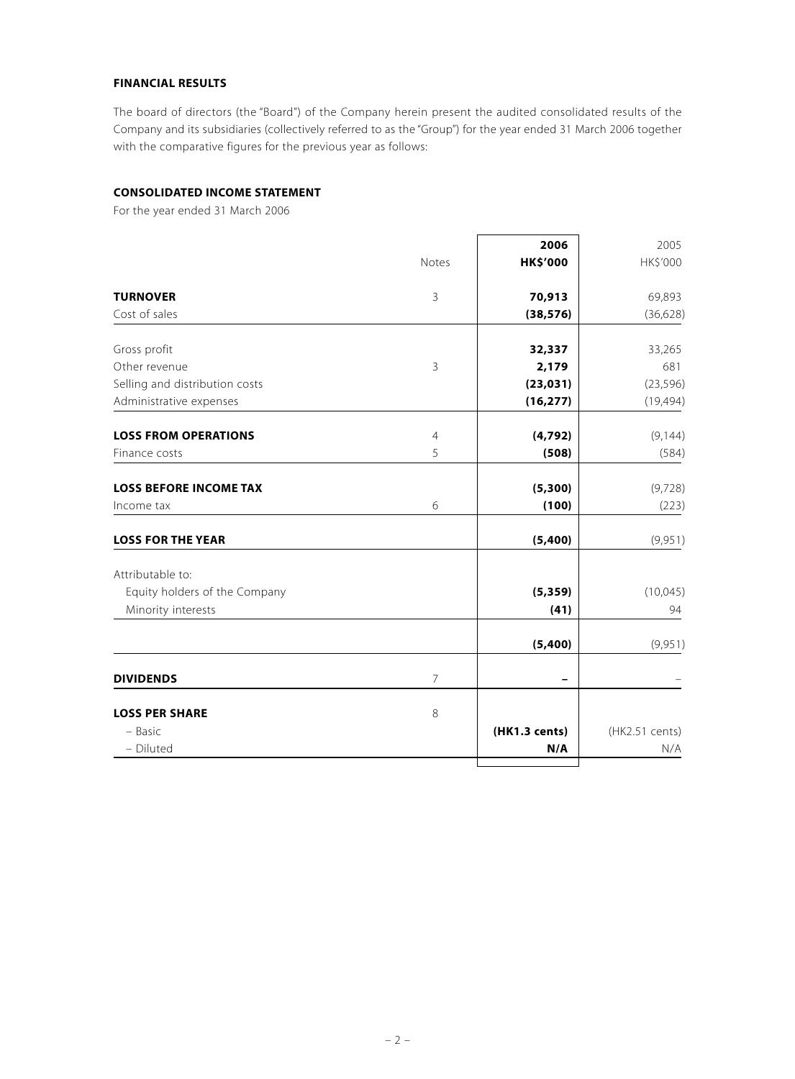#### **FINANCIAL RESULTS**

The board of directors (the "Board") of the Company herein present the audited consolidated results of the Company and its subsidiaries (collectively referred to as the "Group") for the year ended 31 March 2006 together with the comparative figures for the previous year as follows:

# **CONSOLIDATED INCOME STATEMENT**

For the year ended 31 March 2006

|                                | Notes          | 2006<br><b>HK\$'000</b> | 2005<br>HK\$'000 |
|--------------------------------|----------------|-------------------------|------------------|
| <b>TURNOVER</b>                | $\mathbf{3}$   | 70,913                  | 69,893           |
| Cost of sales                  |                | (38, 576)               | (36, 628)        |
| Gross profit                   |                | 32,337                  | 33,265           |
| Other revenue                  | $\mathsf{3}$   | 2,179                   | 681              |
| Selling and distribution costs |                | (23, 031)               | (23, 596)        |
| Administrative expenses        |                | (16, 277)               | (19, 494)        |
| <b>LOSS FROM OPERATIONS</b>    | $\overline{4}$ | (4, 792)                | (9, 144)         |
| Finance costs                  | 5              | (508)                   | (584)            |
| <b>LOSS BEFORE INCOME TAX</b>  |                | (5, 300)                | (9,728)          |
| Income tax                     | 6              | (100)                   | (223)            |
| <b>LOSS FOR THE YEAR</b>       |                | (5,400)                 | (9,951)          |
| Attributable to:               |                |                         |                  |
| Equity holders of the Company  |                | (5, 359)                | (10, 045)        |
| Minority interests             |                | (41)                    | 94               |
|                                |                | (5,400)                 | (9,951)          |
| <b>DIVIDENDS</b>               | $\overline{7}$ |                         |                  |
| <b>LOSS PER SHARE</b>          | $\,8\,$        |                         |                  |
| - Basic                        |                | (HK1.3 cents)           | (HK2.51 cents)   |
| - Diluted                      |                | N/A                     | N/A              |
|                                |                |                         |                  |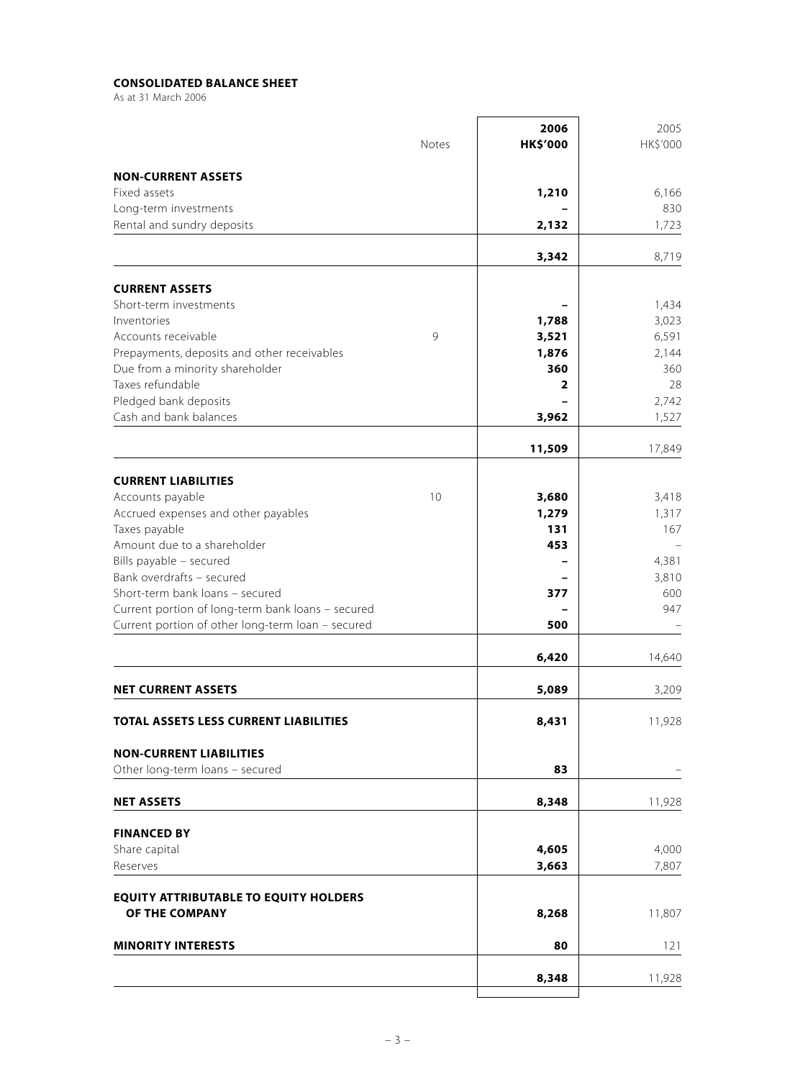# **CONSOLIDATED BALANCE SHEET**

As at 31 March 2006

|                                                                   | <b>Notes</b> | 2006<br><b>HK\$'000</b> | 2005<br>HK\$'000 |
|-------------------------------------------------------------------|--------------|-------------------------|------------------|
| <b>NON-CURRENT ASSETS</b>                                         |              |                         |                  |
| Fixed assets                                                      |              | 1,210                   | 6,166            |
| Long-term investments                                             |              |                         | 830              |
| Rental and sundry deposits                                        |              | 2,132                   | 1,723            |
|                                                                   |              | 3,342                   | 8,719            |
| <b>CURRENT ASSETS</b>                                             |              |                         |                  |
| Short-term investments                                            |              |                         | 1,434            |
| Inventories                                                       |              | 1,788                   | 3,023            |
| Accounts receivable                                               | 9            | 3,521                   | 6,591            |
| Prepayments, deposits and other receivables                       |              | 1,876                   | 2,144            |
| Due from a minority shareholder                                   |              | 360                     | 360              |
| Taxes refundable                                                  |              | 2                       | 28               |
| Pledged bank deposits<br>Cash and bank balances                   |              | 3,962                   | 2,742<br>1,527   |
|                                                                   |              | 11,509                  | 17,849           |
|                                                                   |              |                         |                  |
| <b>CURRENT LIABILITIES</b>                                        |              |                         |                  |
| Accounts payable<br>Accrued expenses and other payables           | 10           | 3,680<br>1,279          | 3,418<br>1,317   |
| Taxes payable                                                     |              | 131                     | 167              |
| Amount due to a shareholder                                       |              | 453                     |                  |
| Bills payable - secured                                           |              |                         | 4,381            |
| Bank overdrafts - secured                                         |              |                         | 3,810            |
| Short-term bank loans - secured                                   |              | 377                     | 600              |
| Current portion of long-term bank loans - secured                 |              |                         | 947              |
| Current portion of other long-term loan - secured                 |              | 500                     |                  |
|                                                                   |              | 6,420                   | 14,640           |
| <b>NET CURRENT ASSETS</b>                                         |              | 5,089                   | 3,209            |
| TOTAL ASSETS LESS CURRENT LIABILITIES                             |              | 8,431                   | 11,928           |
|                                                                   |              |                         |                  |
| <b>NON-CURRENT LIABILITIES</b><br>Other long-term loans - secured |              | 83                      |                  |
| <b>NET ASSETS</b>                                                 |              | 8,348                   | 11,928           |
|                                                                   |              |                         |                  |
| <b>FINANCED BY</b>                                                |              |                         |                  |
| Share capital<br>Reserves                                         |              | 4,605                   | 4,000            |
|                                                                   |              | 3,663                   | 7,807            |
| <b>EQUITY ATTRIBUTABLE TO EQUITY HOLDERS</b><br>OF THE COMPANY    |              | 8,268                   | 11,807           |
|                                                                   |              |                         |                  |
| <b>MINORITY INTERESTS</b>                                         |              | 80                      | 121              |
|                                                                   |              | 8,348                   | 11,928           |
|                                                                   |              |                         |                  |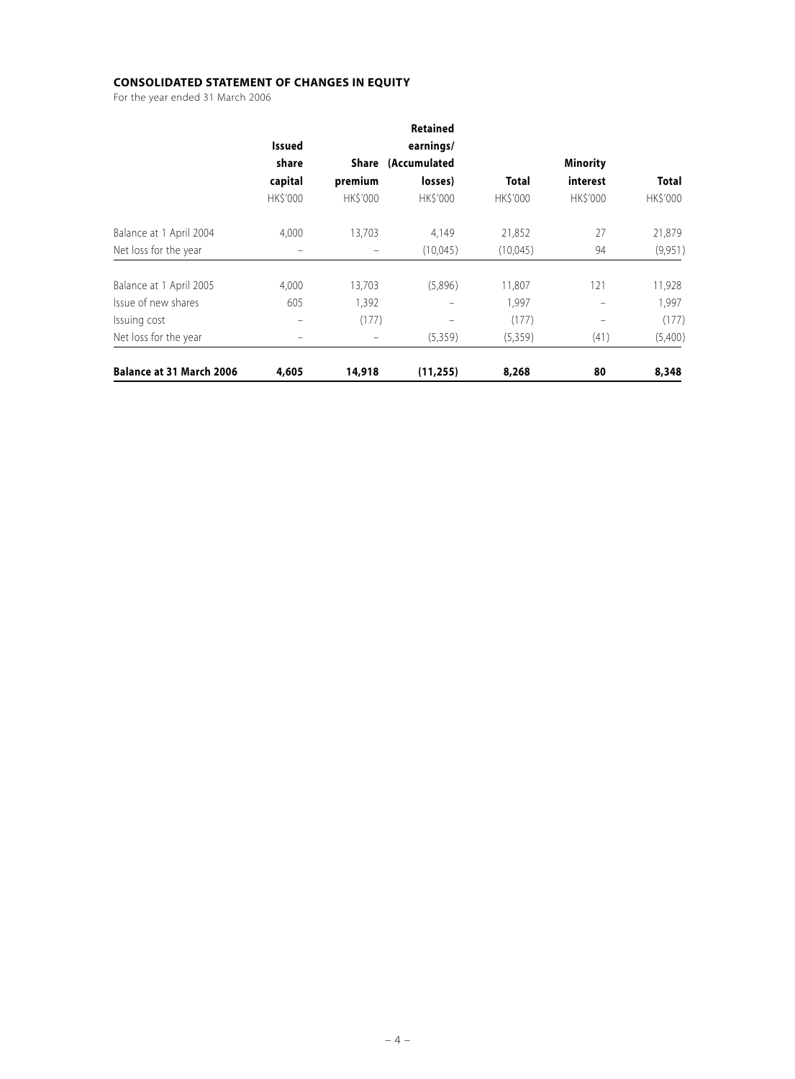# **CONSOLIDATED STATEMENT OF CHANGES IN EQUITY**

For the year ended 31 March 2006

|                                 |                 |                | <b>Retained</b>    |                |                 |                 |
|---------------------------------|-----------------|----------------|--------------------|----------------|-----------------|-----------------|
|                                 | <b>Issued</b>   |                | earnings/          |                |                 |                 |
|                                 | share           |                | Share (Accumulated |                | <b>Minority</b> |                 |
|                                 | capital         | premium        | losses)            | <b>Total</b>   | interest        | <b>Total</b>    |
|                                 | <b>HK\$'000</b> | <b>HKS'000</b> | <b>HKS'000</b>     | <b>HKS'000</b> | <b>HKS'000</b>  | <b>HK\$'000</b> |
| Balance at 1 April 2004         | 4,000           | 13,703         | 4,149              | 21,852         | 27              | 21,879          |
| Net loss for the year           | -               |                | (10,045)           | (10,045)       | 94              | (9,951)         |
| Balance at 1 April 2005         | 4,000           | 13,703         | (5,896)            | 11,807         | 121             | 11,928          |
| Issue of new shares             | 605             | 1,392          |                    | 1,997          |                 | 1,997           |
| Issuing cost                    | -               | (177)          |                    | (177)          |                 | (177)           |
| Net loss for the year           |                 |                | (5,359)            | (5,359)        | (41)            | (5,400)         |
| <b>Balance at 31 March 2006</b> | 4,605           | 14,918         | (11, 255)          | 8,268          | 80              | 8,348           |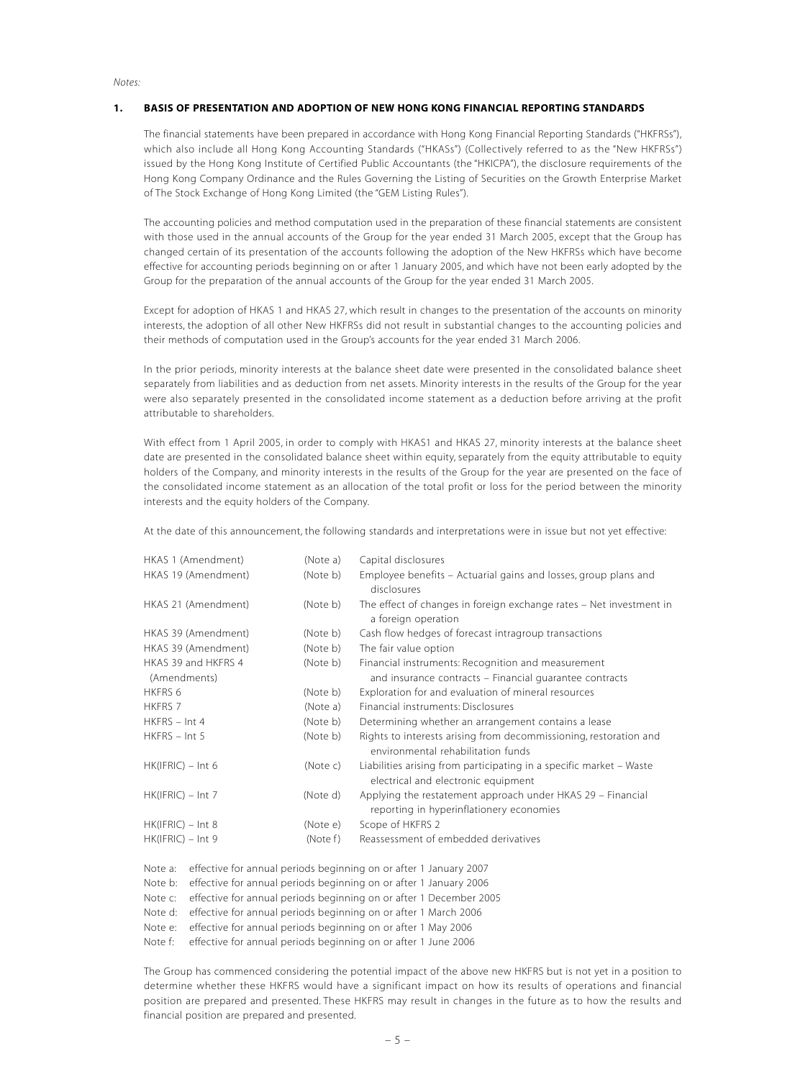#### *Notes:*

#### **1. BASIS OF PRESENTATION AND ADOPTION OF NEW HONG KONG FINANCIAL REPORTING STANDARDS**

The financial statements have been prepared in accordance with Hong Kong Financial Reporting Standards ("HKFRSs"), which also include all Hong Kong Accounting Standards ("HKASs") (Collectively referred to as the "New HKFRSs") issued by the Hong Kong Institute of Certified Public Accountants (the "HKICPA"), the disclosure requirements of the Hong Kong Company Ordinance and the Rules Governing the Listing of Securities on the Growth Enterprise Market of The Stock Exchange of Hong Kong Limited (the "GEM Listing Rules").

The accounting policies and method computation used in the preparation of these financial statements are consistent with those used in the annual accounts of the Group for the year ended 31 March 2005, except that the Group has changed certain of its presentation of the accounts following the adoption of the New HKFRSs which have become effective for accounting periods beginning on or after 1 January 2005, and which have not been early adopted by the Group for the preparation of the annual accounts of the Group for the year ended 31 March 2005.

Except for adoption of HKAS 1 and HKAS 27, which result in changes to the presentation of the accounts on minority interests, the adoption of all other New HKFRSs did not result in substantial changes to the accounting policies and their methods of computation used in the Group's accounts for the year ended 31 March 2006.

In the prior periods, minority interests at the balance sheet date were presented in the consolidated balance sheet separately from liabilities and as deduction from net assets. Minority interests in the results of the Group for the year were also separately presented in the consolidated income statement as a deduction before arriving at the profit attributable to shareholders.

With effect from 1 April 2005, in order to comply with HKAS1 and HKAS 27, minority interests at the balance sheet date are presented in the consolidated balance sheet within equity, separately from the equity attributable to equity holders of the Company, and minority interests in the results of the Group for the year are presented on the face of the consolidated income statement as an allocation of the total profit or loss for the period between the minority interests and the equity holders of the Company.

At the date of this announcement, the following standards and interpretations were in issue but not yet effective:

| (Note a) | Capital disclosures                                                                                        |
|----------|------------------------------------------------------------------------------------------------------------|
| (Note b) | Employee benefits – Actuarial gains and losses, group plans and<br>disclosures                             |
| (Note b) | The effect of changes in foreign exchange rates - Net investment in<br>a foreign operation                 |
| (Note b) | Cash flow hedges of forecast intragroup transactions                                                       |
| (Note b) | The fair value option                                                                                      |
| (Note b) | Financial instruments: Recognition and measurement                                                         |
|          | and insurance contracts – Financial quarantee contracts                                                    |
| (Note b) | Exploration for and evaluation of mineral resources                                                        |
| (Note a) | Financial instruments: Disclosures                                                                         |
| (Note b) | Determining whether an arrangement contains a lease                                                        |
| (Note b) | Rights to interests arising from decommissioning, restoration and<br>environmental rehabilitation funds    |
| (Note c) | Liabilities arising from participating in a specific market – Waste<br>electrical and electronic equipment |
| (Note d) | Applying the restatement approach under HKAS 29 - Financial<br>reporting in hyperinflationery economies    |
| (Note e) | Scope of HKFRS 2                                                                                           |
| (Note f) | Reassessment of embedded derivatives                                                                       |
|          |                                                                                                            |

Note a: effective for annual periods beginning on or after 1 January 2007

Note b: effective for annual periods beginning on or after 1 January 2006

Note c: effective for annual periods beginning on or after 1 December 2005

Note d: effective for annual periods beginning on or after 1 March 2006

Note e: effective for annual periods beginning on or after 1 May 2006

Note f: effective for annual periods beginning on or after 1 June 2006

The Group has commenced considering the potential impact of the above new HKFRS but is not yet in a position to determine whether these HKFRS would have a significant impact on how its results of operations and financial position are prepared and presented. These HKFRS may result in changes in the future as to how the results and financial position are prepared and presented.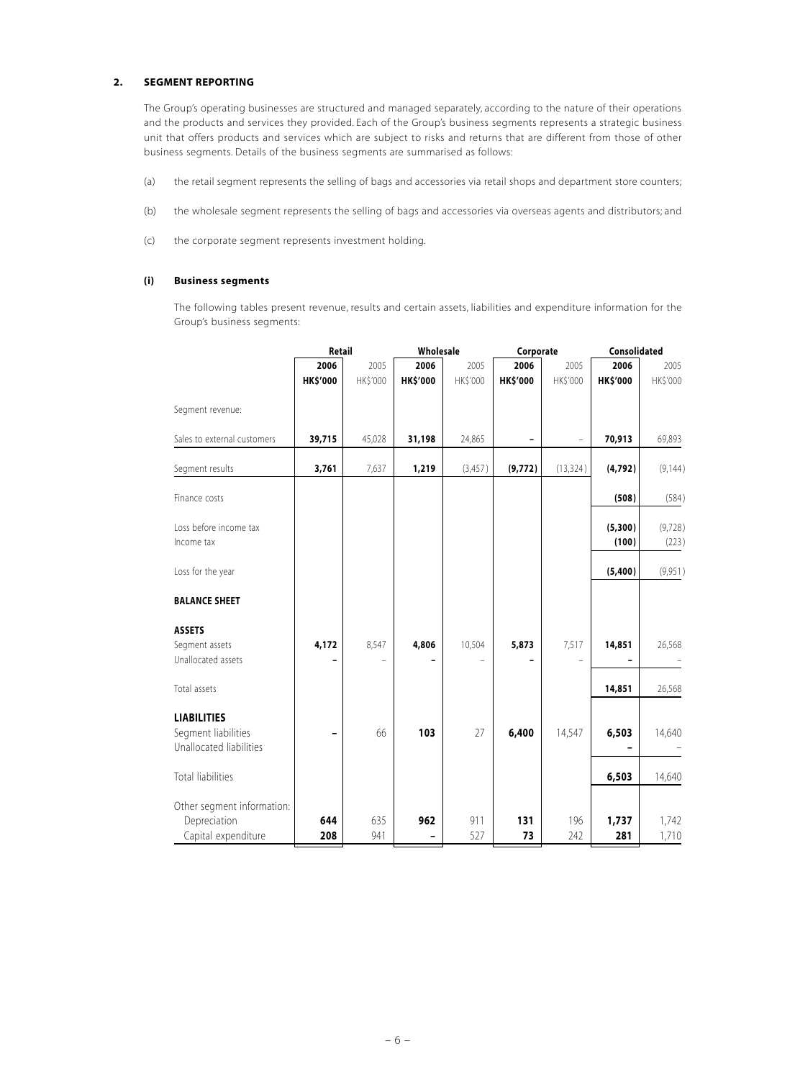#### **2. SEGMENT REPORTING**

The Group's operating businesses are structured and managed separately, according to the nature of their operations and the products and services they provided. Each of the Group's business segments represents a strategic business unit that offers products and services which are subject to risks and returns that are different from those of other business segments. Details of the business segments are summarised as follows:

- (a) the retail segment represents the selling of bags and accessories via retail shops and department store counters;
- (b) the wholesale segment represents the selling of bags and accessories via overseas agents and distributors; and
- (c) the corporate segment represents investment holding.

#### **(i) Business segments**

The following tables present revenue, results and certain assets, liabilities and expenditure information for the Group's business segments:

|                                                                      | Retail                  |                  | Wholesale               |                  | Corporate        |                  | Consolidated            |                   |
|----------------------------------------------------------------------|-------------------------|------------------|-------------------------|------------------|------------------|------------------|-------------------------|-------------------|
|                                                                      | 2006<br><b>HK\$'000</b> | 2005<br>HK\$'000 | 2006<br><b>HK\$'000</b> | 2005<br>HK\$'000 | 2006<br>HK\$'000 | 2005<br>HK\$'000 | 2006<br><b>HK\$'000</b> | 2005<br>HK\$'000  |
| Segment revenue:                                                     |                         |                  |                         |                  |                  |                  |                         |                   |
| Sales to external customers                                          | 39,715                  | 45,028           | 31,198                  | 24,865           |                  |                  | 70,913                  | 69,893            |
| Segment results                                                      | 3,761                   | 7,637            | 1,219                   | (3, 457)         | (9, 772)         | (13, 324)        | (4,792)                 | (9, 144)          |
| Finance costs                                                        |                         |                  |                         |                  |                  |                  | (508)                   | (584)             |
| Loss before income tax<br>Income tax                                 |                         |                  |                         |                  |                  |                  | (5,300)<br>(100)        | (9, 728)<br>(223) |
| Loss for the year                                                    |                         |                  |                         |                  |                  |                  | (5,400)                 | (9,951)           |
| <b>BALANCE SHEET</b>                                                 |                         |                  |                         |                  |                  |                  |                         |                   |
| <b>ASSETS</b><br>Segment assets<br>Unallocated assets                | 4,172                   | 8,547            | 4,806                   | 10,504           | 5,873            | 7,517            | 14,851                  | 26,568            |
| Total assets                                                         |                         |                  |                         |                  |                  |                  | 14,851                  | 26,568            |
| <b>LIABILITIES</b><br>Segment liabilities<br>Unallocated liabilities |                         | 66               | 103                     | 27               | 6,400            | 14,547           | 6,503                   | 14,640            |
| <b>Total liabilities</b>                                             |                         |                  |                         |                  |                  |                  | 6,503                   | 14,640            |
| Other segment information:<br>Depreciation<br>Capital expenditure    | 644<br>208              | 635<br>941       | 962                     | 911<br>527       | 131<br>73        | 196<br>242       | 1,737<br>281            | 1,742<br>1,710    |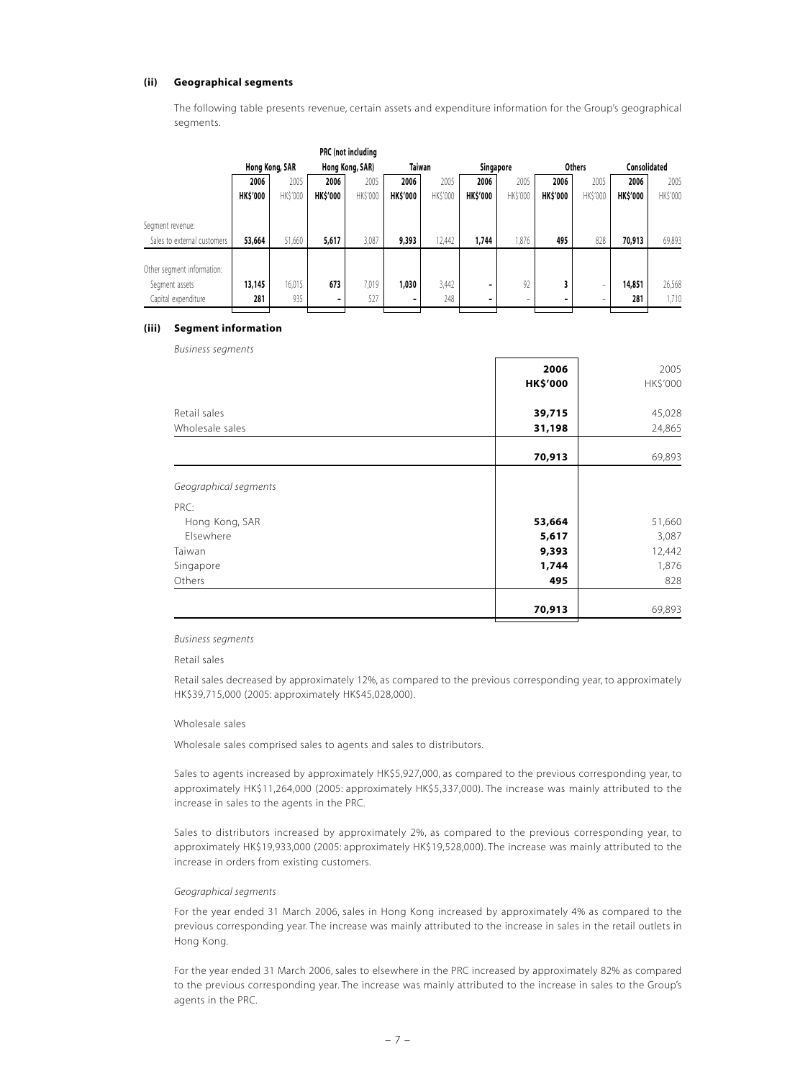#### **(ii) Geographical segments**

The following table presents revenue, certain assets and expenditure information for the Group's geographical segments.

|                             |                 |                |                 | PRC (not including |                 |          |                 |                |                 |                          |                 |          |
|-----------------------------|-----------------|----------------|-----------------|--------------------|-----------------|----------|-----------------|----------------|-----------------|--------------------------|-----------------|----------|
|                             |                 | Hong Kong, SAR |                 | Hong Kong, SAR)    | <b>Taiwan</b>   |          | Singapore       |                |                 | <b>Others</b>            | Consolidated    |          |
|                             | 2006            | 2005           | 2006            | 2005               | 2006            | 2005     | 2006            | 2005           | 2006            | 2005                     | 2006            | 2005     |
|                             | <b>HK\$'000</b> | HK\$'000       | <b>HK\$'000</b> | <b>HKS'000</b>     | <b>HK\$'000</b> | HK\$'000 | <b>HK\$'000</b> | <b>HKS'000</b> | <b>HK\$'000</b> | <b>HK\$'000</b>          | <b>HK\$'000</b> | HK\$'000 |
| Segment revenue:            |                 |                |                 |                    |                 |          |                 |                |                 |                          |                 |          |
| Sales to external customers | 53,664          | 51,660         | 5,617           | 3,087              | 9,393           | 12.442   | 1,744           | 1,876          | 495             | 828                      | 70,913          | 69,893   |
|                             |                 |                |                 |                    |                 |          |                 |                |                 |                          |                 |          |
| Other segment information:  |                 |                |                 |                    |                 |          |                 |                |                 |                          |                 |          |
| Segment assets              | 13,145          | 16,015         | 673             | 7,019              | 1,030           | 3,442    | -               | 92             | 3               | $\overline{\phantom{m}}$ | 14,851          | 26,568   |
| Capital expenditure         | 281             | 935            | -               | 527                |                 | 248      | -               | -              | -               | -                        | 281             | 1.710    |

#### **(iii) Segment information**

*Business segments*

|                       | 2006            | 2005     |
|-----------------------|-----------------|----------|
|                       | <b>HK\$'000</b> | HK\$'000 |
| Retail sales          | 39,715          | 45,028   |
| Wholesale sales       | 31,198          | 24,865   |
|                       | 70,913          | 69,893   |
| Geographical segments |                 |          |
| PRC:                  |                 |          |
| Hong Kong, SAR        | 53,664          | 51,660   |
| Elsewhere             | 5,617           | 3,087    |
| Taiwan                | 9,393           | 12,442   |
| Singapore             | 1,744           | 1,876    |
| Others                | 495             | 828      |
|                       | 70,913          | 69,893   |

#### *Business segments*

Retail sales

Retail sales decreased by approximately 12%, as compared to the previous corresponding year, to approximately HK\$39,715,000 (2005: approximately HK\$45,028,000).

#### Wholesale sales

Wholesale sales comprised sales to agents and sales to distributors.

Sales to agents increased by approximately HK\$5,927,000, as compared to the previous corresponding year, to approximately HK\$11,264,000 (2005: approximately HK\$5,337,000). The increase was mainly attributed to the increase in sales to the agents in the PRC.

Sales to distributors increased by approximately 2%, as compared to the previous corresponding year, to approximately HK\$19,933,000 (2005: approximately HK\$19,528,000). The increase was mainly attributed to the increase in orders from existing customers.

#### *Geographical segments*

For the year ended 31 March 2006, sales in Hong Kong increased by approximately 4% as compared to the previous corresponding year. The increase was mainly attributed to the increase in sales in the retail outlets in Hong Kong.

For the year ended 31 March 2006, sales to elsewhere in the PRC increased by approximately 82% as compared to the previous corresponding year. The increase was mainly attributed to the increase in sales to the Group's agents in the PRC.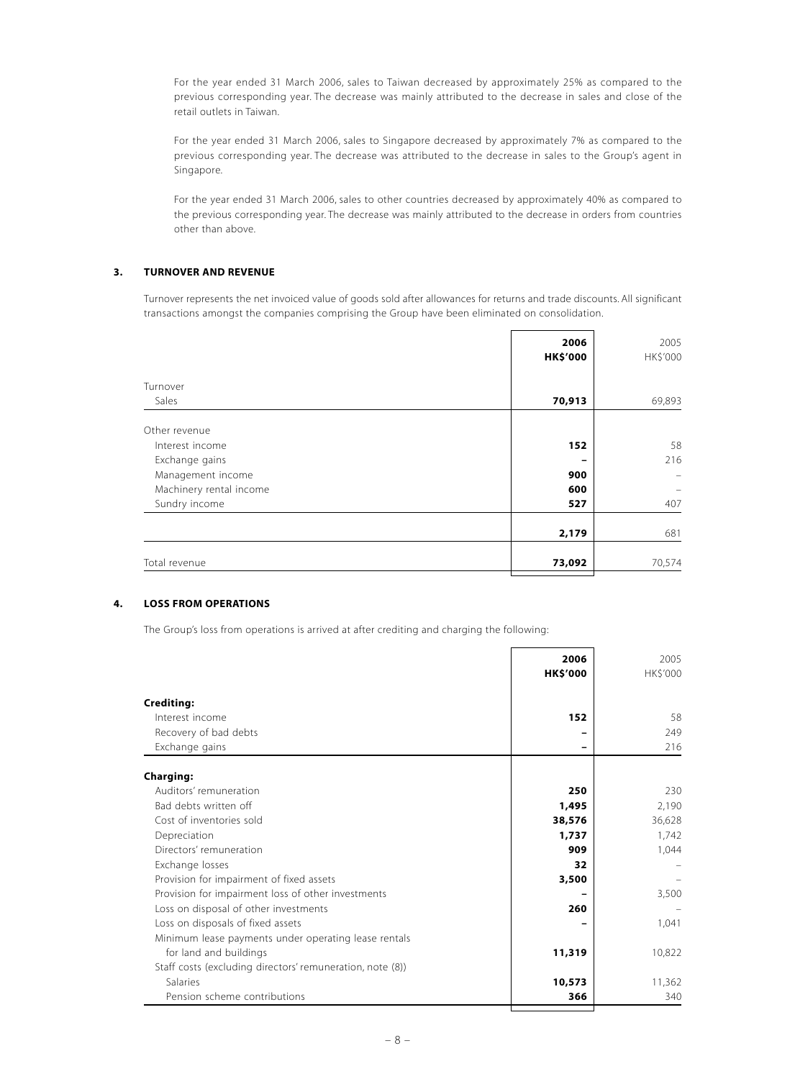For the year ended 31 March 2006, sales to Taiwan decreased by approximately 25% as compared to the previous corresponding year. The decrease was mainly attributed to the decrease in sales and close of the retail outlets in Taiwan.

For the year ended 31 March 2006, sales to Singapore decreased by approximately 7% as compared to the previous corresponding year. The decrease was attributed to the decrease in sales to the Group's agent in Singapore.

For the year ended 31 March 2006, sales to other countries decreased by approximately 40% as compared to the previous corresponding year. The decrease was mainly attributed to the decrease in orders from countries other than above.

## **3. TURNOVER AND REVENUE**

Turnover represents the net invoiced value of goods sold after allowances for returns and trade discounts. All significant transactions amongst the companies comprising the Group have been eliminated on consolidation.

|                         | 2006<br><b>HK\$'000</b> | 2005<br>HK\$'000 |
|-------------------------|-------------------------|------------------|
| Turnover                |                         |                  |
| Sales                   | 70,913                  | 69,893           |
| Other revenue           |                         |                  |
| Interest income         | 152                     | 58               |
| Exchange gains          |                         | 216              |
| Management income       | 900                     |                  |
| Machinery rental income | 600                     |                  |
| Sundry income           | 527                     | 407              |
|                         | 2,179                   | 681              |
| Total revenue           | 73,092                  | 70,574           |

#### **4. LOSS FROM OPERATIONS**

The Group's loss from operations is arrived at after crediting and charging the following:

|                                                           | 2006<br><b>HK\$'000</b> | 2005<br>HK\$'000 |
|-----------------------------------------------------------|-------------------------|------------------|
|                                                           |                         |                  |
| <b>Crediting:</b>                                         |                         |                  |
| Interest income                                           | 152                     | 58               |
| Recovery of bad debts                                     |                         | 249              |
| Exchange gains                                            |                         | 216              |
| <b>Charging:</b>                                          |                         |                  |
| Auditors' remuneration                                    | 250                     | 230              |
| Bad debts written off                                     | 1,495                   | 2,190            |
| Cost of inventories sold                                  | 38,576                  | 36,628           |
| Depreciation                                              | 1,737                   | 1,742            |
| Directors' remuneration                                   | 909                     | 1,044            |
| Exchange losses                                           | 32                      |                  |
| Provision for impairment of fixed assets                  | 3,500                   |                  |
| Provision for impairment loss of other investments        |                         | 3,500            |
| Loss on disposal of other investments                     | 260                     |                  |
| Loss on disposals of fixed assets                         |                         | 1,041            |
| Minimum lease payments under operating lease rentals      |                         |                  |
| for land and buildings                                    | 11,319                  | 10,822           |
| Staff costs (excluding directors' remuneration, note (8)) |                         |                  |
| <b>Salaries</b>                                           | 10,573                  | 11,362           |
|                                                           |                         |                  |
| Pension scheme contributions                              | 366                     | 340              |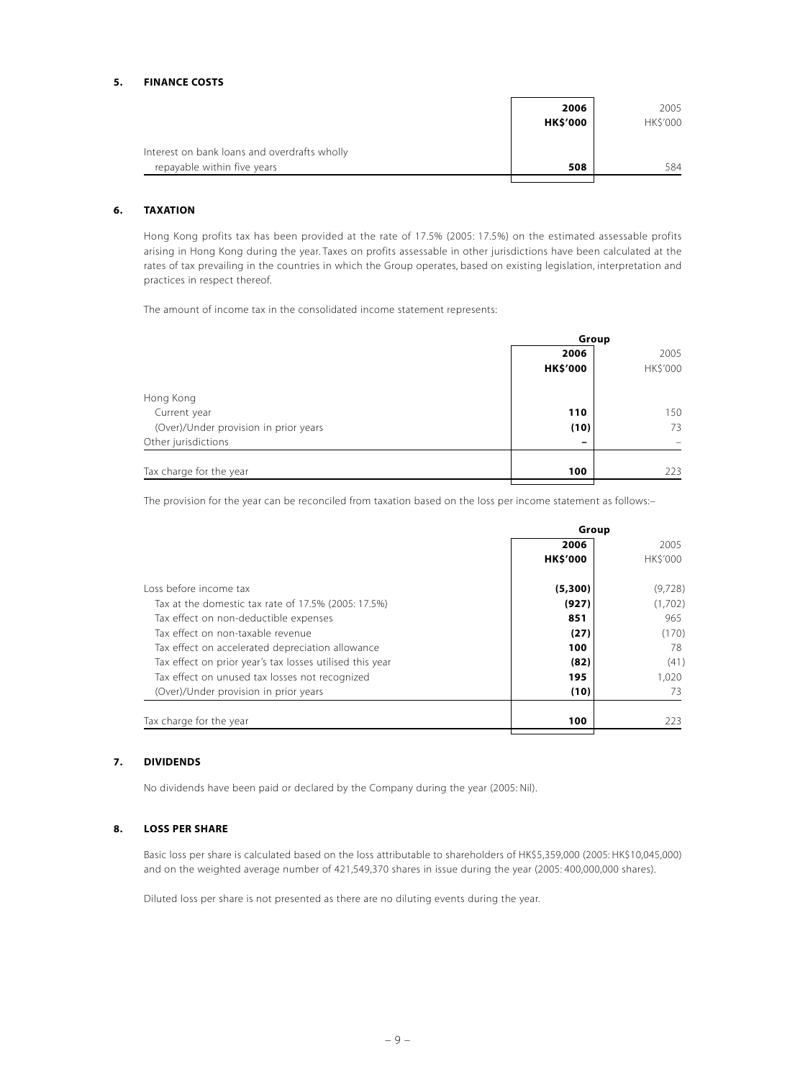#### **5. FINANCE COSTS**

|                                              | 2006            | 2005     |
|----------------------------------------------|-----------------|----------|
|                                              | <b>HK\$'000</b> | HK\$'000 |
| Interest on bank loans and overdrafts wholly |                 |          |
| repayable within five years                  | 508             | 584      |
|                                              |                 |          |

## **6. TAXATION**

Hong Kong profits tax has been provided at the rate of 17.5% (2005: 17.5%) on the estimated assessable profits arising in Hong Kong during the year. Taxes on profits assessable in other jurisdictions have been calculated at the rates of tax prevailing in the countries in which the Group operates, based on existing legislation, interpretation and practices in respect thereof.

The amount of income tax in the consolidated income statement represents:

|                                       | Group           |          |  |  |
|---------------------------------------|-----------------|----------|--|--|
|                                       | 2006            | 2005     |  |  |
|                                       | <b>HK\$'000</b> | HK\$'000 |  |  |
| Hong Kong                             |                 |          |  |  |
| Current year                          | 110             | 150      |  |  |
| (Over)/Under provision in prior years | (10)            | 73       |  |  |
| Other jurisdictions                   | -               |          |  |  |
| Tax charge for the year               | 100             | 223      |  |  |

The provision for the year can be reconciled from taxation based on the loss per income statement as follows:-

|                                                          | Group           |          |  |
|----------------------------------------------------------|-----------------|----------|--|
|                                                          | 2006            | 2005     |  |
|                                                          | <b>HK\$'000</b> | HK\$'000 |  |
| Loss before income tax                                   | (5,300)         | (9,728)  |  |
| Tax at the domestic tax rate of 17.5% (2005: 17.5%)      | (927)           | (1,702)  |  |
| Tax effect on non-deductible expenses                    | 851             | 965      |  |
| Tax effect on non-taxable revenue                        | (27)            | (170)    |  |
| Tax effect on accelerated depreciation allowance         | 100             | 78       |  |
| Tax effect on prior year's tax losses utilised this year | (82)            | (41)     |  |
| Tax effect on unused tax losses not recognized           | 195             | 1.020    |  |
| (Over)/Under provision in prior years                    | (10)            | 73       |  |
| Tax charge for the year                                  | 100             | 223      |  |
|                                                          |                 |          |  |

#### **7. DIVIDENDS**

No dividends have been paid or declared by the Company during the year (2005: Nil).

#### **8. LOSS PER SHARE**

Basic loss per share is calculated based on the loss attributable to shareholders of HK\$5,359,000 (2005: HK\$10,045,000) and on the weighted average number of 421,549,370 shares in issue during the year (2005: 400,000,000 shares).

Diluted loss per share is not presented as there are no diluting events during the year.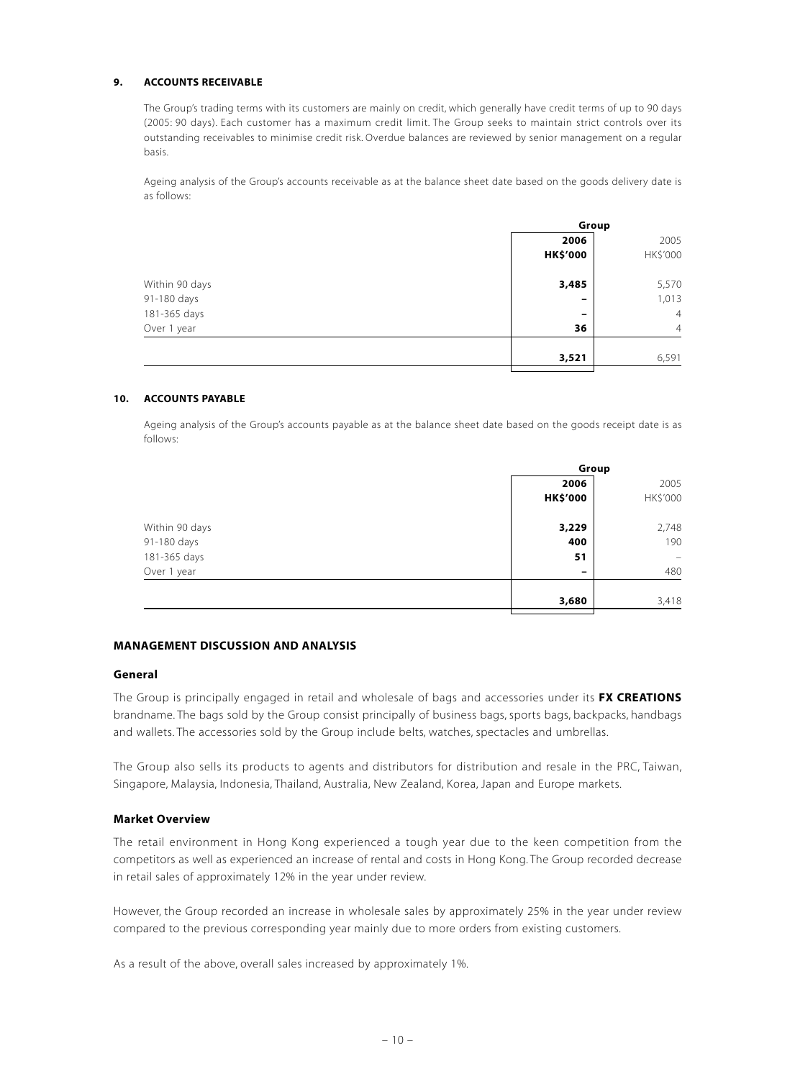#### **9. ACCOUNTS RECEIVABLE**

The Group's trading terms with its customers are mainly on credit, which generally have credit terms of up to 90 days (2005: 90 days). Each customer has a maximum credit limit. The Group seeks to maintain strict controls over its outstanding receivables to minimise credit risk. Overdue balances are reviewed by senior management on a regular basis.

Ageing analysis of the Group's accounts receivable as at the balance sheet date based on the goods delivery date is as follows:

|                | Group                    |                |  |
|----------------|--------------------------|----------------|--|
|                | 2006                     | 2005           |  |
|                | <b>HK\$'000</b>          | HK\$'000       |  |
| Within 90 days | 3,485                    | 5,570          |  |
| 91-180 days    | -                        | 1,013          |  |
| 181-365 days   | $\overline{\phantom{0}}$ | $\overline{4}$ |  |
| Over 1 year    | 36                       | $\overline{4}$ |  |
|                | 3,521                    | 6,591          |  |

#### **10. ACCOUNTS PAYABLE**

Ageing analysis of the Group's accounts payable as at the balance sheet date based on the goods receipt date is as follows:

|                | Group           |                   |  |
|----------------|-----------------|-------------------|--|
|                | 2006            | 2005              |  |
|                | <b>HK\$'000</b> | HK\$'000          |  |
| Within 90 days | 3,229           | 2,748             |  |
| 91-180 days    | 400             | 190               |  |
| 181-365 days   | 51              | $\qquad \qquad =$ |  |
| Over 1 year    | -               | 480               |  |
|                | 3,680           | 3,418             |  |

#### **MANAGEMENT DISCUSSION AND ANALYSIS**

#### **General**

The Group is principally engaged in retail and wholesale of bags and accessories under its **FX CREATIONS** brandname. The bags sold by the Group consist principally of business bags, sports bags, backpacks, handbags and wallets. The accessories sold by the Group include belts, watches, spectacles and umbrellas.

The Group also sells its products to agents and distributors for distribution and resale in the PRC, Taiwan, Singapore, Malaysia, Indonesia, Thailand, Australia, New Zealand, Korea, Japan and Europe markets.

#### **Market Overview**

The retail environment in Hong Kong experienced a tough year due to the keen competition from the competitors as well as experienced an increase of rental and costs in Hong Kong. The Group recorded decrease in retail sales of approximately 12% in the year under review.

However, the Group recorded an increase in wholesale sales by approximately 25% in the year under review compared to the previous corresponding year mainly due to more orders from existing customers.

As a result of the above, overall sales increased by approximately 1%.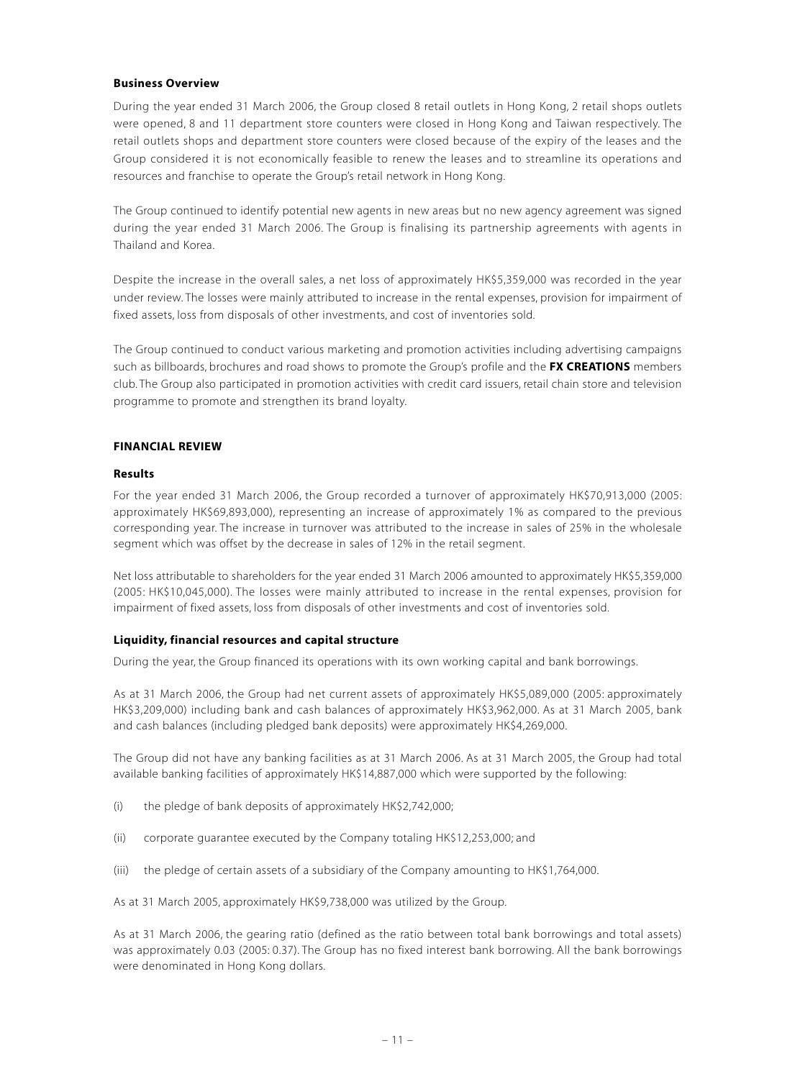#### **Business Overview**

During the year ended 31 March 2006, the Group closed 8 retail outlets in Hong Kong, 2 retail shops outlets were opened, 8 and 11 department store counters were closed in Hong Kong and Taiwan respectively. The retail outlets shops and department store counters were closed because of the expiry of the leases and the Group considered it is not economically feasible to renew the leases and to streamline its operations and resources and franchise to operate the Group's retail network in Hong Kong.

The Group continued to identify potential new agents in new areas but no new agency agreement was signed during the year ended 31 March 2006. The Group is finalising its partnership agreements with agents in Thailand and Korea.

Despite the increase in the overall sales, a net loss of approximately HK\$5,359,000 was recorded in the year under review. The losses were mainly attributed to increase in the rental expenses, provision for impairment of fixed assets, loss from disposals of other investments, and cost of inventories sold.

The Group continued to conduct various marketing and promotion activities including advertising campaigns such as billboards, brochures and road shows to promote the Group's profile and the **FX CREATIONS** members club. The Group also participated in promotion activities with credit card issuers, retail chain store and television programme to promote and strengthen its brand loyalty.

#### **FINANCIAL REVIEW**

#### **Results**

For the year ended 31 March 2006, the Group recorded a turnover of approximately HK\$70,913,000 (2005: approximately HK\$69,893,000), representing an increase of approximately 1% as compared to the previous corresponding year. The increase in turnover was attributed to the increase in sales of 25% in the wholesale segment which was offset by the decrease in sales of 12% in the retail segment.

Net loss attributable to shareholders for the year ended 31 March 2006 amounted to approximately HK\$5,359,000 (2005: HK\$10,045,000). The losses were mainly attributed to increase in the rental expenses, provision for impairment of fixed assets, loss from disposals of other investments and cost of inventories sold.

#### **Liquidity, financial resources and capital structure**

During the year, the Group financed its operations with its own working capital and bank borrowings.

As at 31 March 2006, the Group had net current assets of approximately HK\$5,089,000 (2005: approximately HK\$3,209,000) including bank and cash balances of approximately HK\$3,962,000. As at 31 March 2005, bank and cash balances (including pledged bank deposits) were approximately HK\$4,269,000.

The Group did not have any banking facilities as at 31 March 2006. As at 31 March 2005, the Group had total available banking facilities of approximately HK\$14,887,000 which were supported by the following:

- (i) the pledge of bank deposits of approximately HK\$2,742,000;
- (ii) corporate guarantee executed by the Company totaling HK\$12,253,000; and
- (iii) the pledge of certain assets of a subsidiary of the Company amounting to HK\$1,764,000.

As at 31 March 2005, approximately HK\$9,738,000 was utilized by the Group.

As at 31 March 2006, the gearing ratio (defined as the ratio between total bank borrowings and total assets) was approximately 0.03 (2005: 0.37). The Group has no fixed interest bank borrowing. All the bank borrowings were denominated in Hong Kong dollars.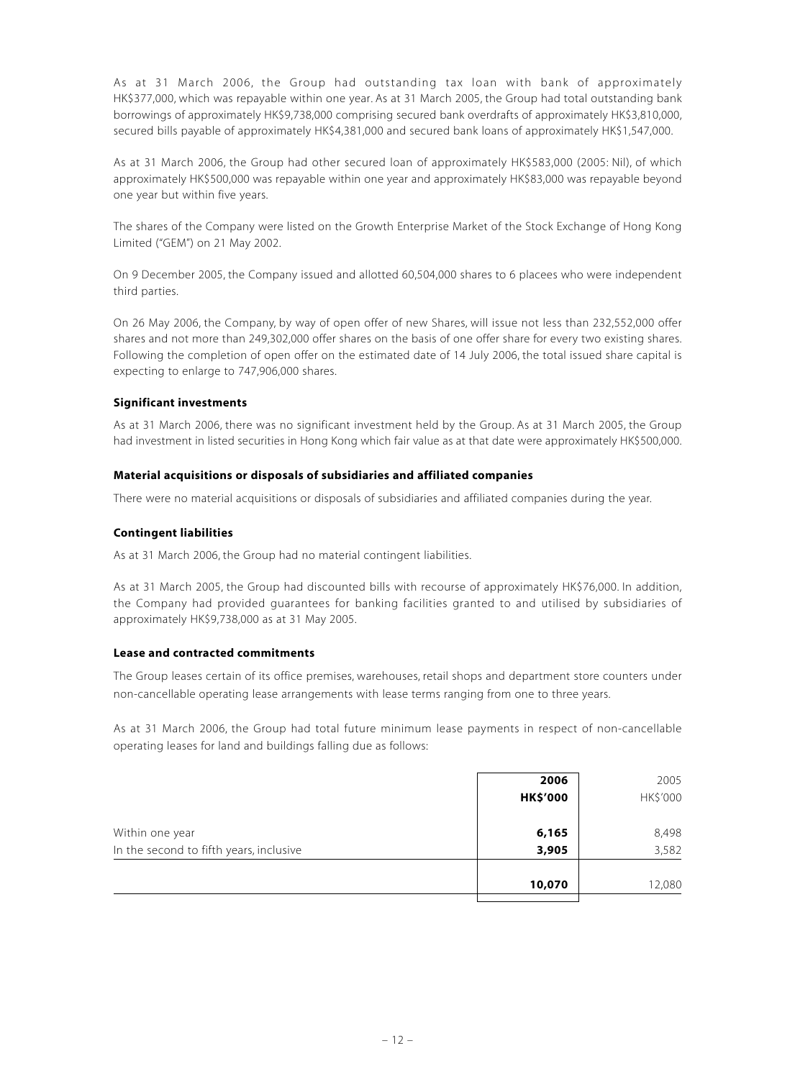As at 31 March 2006, the Group had outstanding tax loan with bank of approximately HK\$377,000, which was repayable within one year. As at 31 March 2005, the Group had total outstanding bank borrowings of approximately HK\$9,738,000 comprising secured bank overdrafts of approximately HK\$3,810,000, secured bills payable of approximately HK\$4,381,000 and secured bank loans of approximately HK\$1,547,000.

As at 31 March 2006, the Group had other secured loan of approximately HK\$583,000 (2005: Nil), of which approximately HK\$500,000 was repayable within one year and approximately HK\$83,000 was repayable beyond one year but within five years.

The shares of the Company were listed on the Growth Enterprise Market of the Stock Exchange of Hong Kong Limited ("GEM") on 21 May 2002.

On 9 December 2005, the Company issued and allotted 60,504,000 shares to 6 placees who were independent third parties.

On 26 May 2006, the Company, by way of open offer of new Shares, will issue not less than 232,552,000 offer shares and not more than 249,302,000 offer shares on the basis of one offer share for every two existing shares. Following the completion of open offer on the estimated date of 14 July 2006, the total issued share capital is expecting to enlarge to 747,906,000 shares.

## **Significant investments**

As at 31 March 2006, there was no significant investment held by the Group. As at 31 March 2005, the Group had investment in listed securities in Hong Kong which fair value as at that date were approximately HK\$500,000.

#### **Material acquisitions or disposals of subsidiaries and affiliated companies**

There were no material acquisitions or disposals of subsidiaries and affiliated companies during the year.

## **Contingent liabilities**

As at 31 March 2006, the Group had no material contingent liabilities.

As at 31 March 2005, the Group had discounted bills with recourse of approximately HK\$76,000. In addition, the Company had provided guarantees for banking facilities granted to and utilised by subsidiaries of approximately HK\$9,738,000 as at 31 May 2005.

#### **Lease and contracted commitments**

The Group leases certain of its office premises, warehouses, retail shops and department store counters under non-cancellable operating lease arrangements with lease terms ranging from one to three years.

As at 31 March 2006, the Group had total future minimum lease payments in respect of non-cancellable operating leases for land and buildings falling due as follows:

| <b>HK\$'000</b> |          |
|-----------------|----------|
|                 | HK\$'000 |
| 6,165           | 8,498    |
| 3,905           | 3,582    |
| 10,070          | 12,080   |
|                 |          |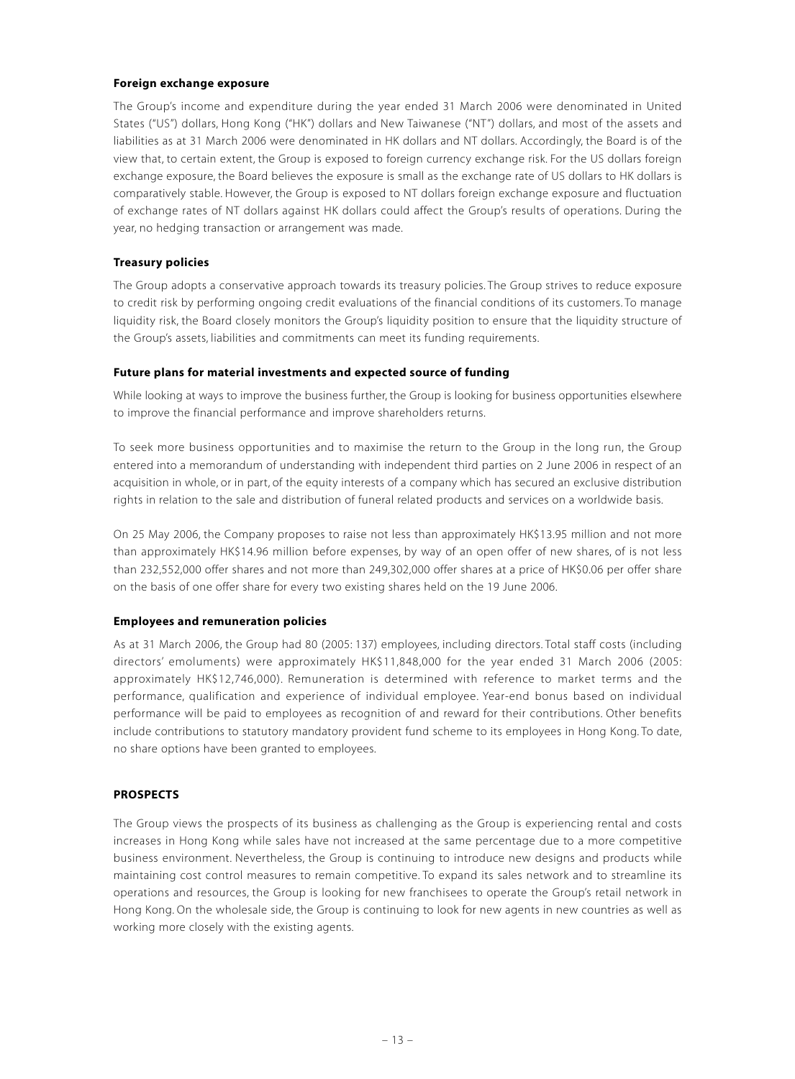#### **Foreign exchange exposure**

The Group's income and expenditure during the year ended 31 March 2006 were denominated in United States ("US") dollars, Hong Kong ("HK") dollars and New Taiwanese ("NT") dollars, and most of the assets and liabilities as at 31 March 2006 were denominated in HK dollars and NT dollars. Accordingly, the Board is of the view that, to certain extent, the Group is exposed to foreign currency exchange risk. For the US dollars foreign exchange exposure, the Board believes the exposure is small as the exchange rate of US dollars to HK dollars is comparatively stable. However, the Group is exposed to NT dollars foreign exchange exposure and fluctuation of exchange rates of NT dollars against HK dollars could affect the Group's results of operations. During the year, no hedging transaction or arrangement was made.

## **Treasury policies**

The Group adopts a conservative approach towards its treasury policies. The Group strives to reduce exposure to credit risk by performing ongoing credit evaluations of the financial conditions of its customers. To manage liquidity risk, the Board closely monitors the Group's liquidity position to ensure that the liquidity structure of the Group's assets, liabilities and commitments can meet its funding requirements.

## **Future plans for material investments and expected source of funding**

While looking at ways to improve the business further, the Group is looking for business opportunities elsewhere to improve the financial performance and improve shareholders returns.

To seek more business opportunities and to maximise the return to the Group in the long run, the Group entered into a memorandum of understanding with independent third parties on 2 June 2006 in respect of an acquisition in whole, or in part, of the equity interests of a company which has secured an exclusive distribution rights in relation to the sale and distribution of funeral related products and services on a worldwide basis.

On 25 May 2006, the Company proposes to raise not less than approximately HK\$13.95 million and not more than approximately HK\$14.96 million before expenses, by way of an open offer of new shares, of is not less than 232,552,000 offer shares and not more than 249,302,000 offer shares at a price of HK\$0.06 per offer share on the basis of one offer share for every two existing shares held on the 19 June 2006.

#### **Employees and remuneration policies**

As at 31 March 2006, the Group had 80 (2005: 137) employees, including directors. Total staff costs (including directors' emoluments) were approximately HK\$11,848,000 for the year ended 31 March 2006 (2005: approximately HK\$12,746,000). Remuneration is determined with reference to market terms and the performance, qualification and experience of individual employee. Year-end bonus based on individual performance will be paid to employees as recognition of and reward for their contributions. Other benefits include contributions to statutory mandatory provident fund scheme to its employees in Hong Kong. To date, no share options have been granted to employees.

# **PROSPECTS**

The Group views the prospects of its business as challenging as the Group is experiencing rental and costs increases in Hong Kong while sales have not increased at the same percentage due to a more competitive business environment. Nevertheless, the Group is continuing to introduce new designs and products while maintaining cost control measures to remain competitive. To expand its sales network and to streamline its operations and resources, the Group is looking for new franchisees to operate the Group's retail network in Hong Kong. On the wholesale side, the Group is continuing to look for new agents in new countries as well as working more closely with the existing agents.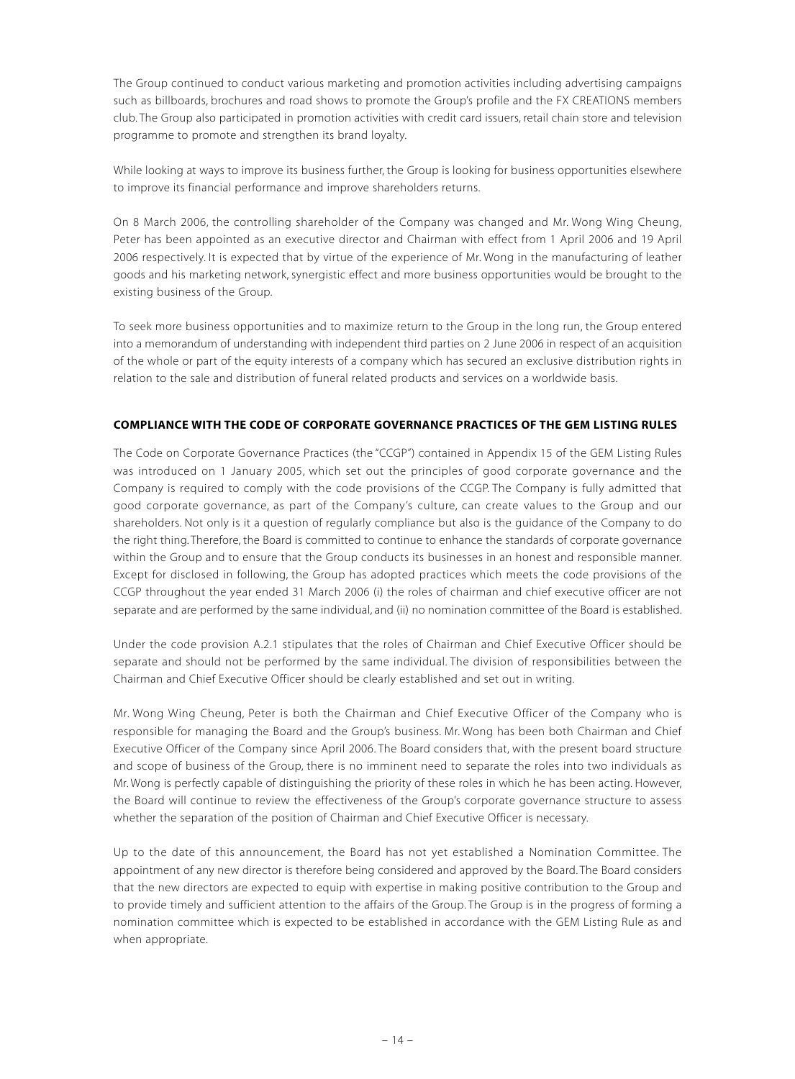The Group continued to conduct various marketing and promotion activities including advertising campaigns such as billboards, brochures and road shows to promote the Group's profile and the FX CREATIONS members club. The Group also participated in promotion activities with credit card issuers, retail chain store and television programme to promote and strengthen its brand loyalty.

While looking at ways to improve its business further, the Group is looking for business opportunities elsewhere to improve its financial performance and improve shareholders returns.

On 8 March 2006, the controlling shareholder of the Company was changed and Mr. Wong Wing Cheung, Peter has been appointed as an executive director and Chairman with effect from 1 April 2006 and 19 April 2006 respectively. It is expected that by virtue of the experience of Mr. Wong in the manufacturing of leather goods and his marketing network, synergistic effect and more business opportunities would be brought to the existing business of the Group.

To seek more business opportunities and to maximize return to the Group in the long run, the Group entered into a memorandum of understanding with independent third parties on 2 June 2006 in respect of an acquisition of the whole or part of the equity interests of a company which has secured an exclusive distribution rights in relation to the sale and distribution of funeral related products and services on a worldwide basis.

## **COMPLIANCE WITH THE CODE OF CORPORATE GOVERNANCE PRACTICES OF THE GEM LISTING RULES**

The Code on Corporate Governance Practices (the "CCGP") contained in Appendix 15 of the GEM Listing Rules was introduced on 1 January 2005, which set out the principles of good corporate governance and the Company is required to comply with the code provisions of the CCGP. The Company is fully admitted that good corporate governance, as part of the Company's culture, can create values to the Group and our shareholders. Not only is it a question of regularly compliance but also is the guidance of the Company to do the right thing. Therefore, the Board is committed to continue to enhance the standards of corporate governance within the Group and to ensure that the Group conducts its businesses in an honest and responsible manner. Except for disclosed in following, the Group has adopted practices which meets the code provisions of the CCGP throughout the year ended 31 March 2006 (i) the roles of chairman and chief executive officer are not separate and are performed by the same individual, and (ii) no nomination committee of the Board is established.

Under the code provision A.2.1 stipulates that the roles of Chairman and Chief Executive Officer should be separate and should not be performed by the same individual. The division of responsibilities between the Chairman and Chief Executive Officer should be clearly established and set out in writing.

Mr. Wong Wing Cheung, Peter is both the Chairman and Chief Executive Officer of the Company who is responsible for managing the Board and the Group's business. Mr. Wong has been both Chairman and Chief Executive Officer of the Company since April 2006. The Board considers that, with the present board structure and scope of business of the Group, there is no imminent need to separate the roles into two individuals as Mr. Wong is perfectly capable of distinguishing the priority of these roles in which he has been acting. However, the Board will continue to review the effectiveness of the Group's corporate governance structure to assess whether the separation of the position of Chairman and Chief Executive Officer is necessary.

Up to the date of this announcement, the Board has not yet established a Nomination Committee. The appointment of any new director is therefore being considered and approved by the Board. The Board considers that the new directors are expected to equip with expertise in making positive contribution to the Group and to provide timely and sufficient attention to the affairs of the Group. The Group is in the progress of forming a nomination committee which is expected to be established in accordance with the GEM Listing Rule as and when appropriate.